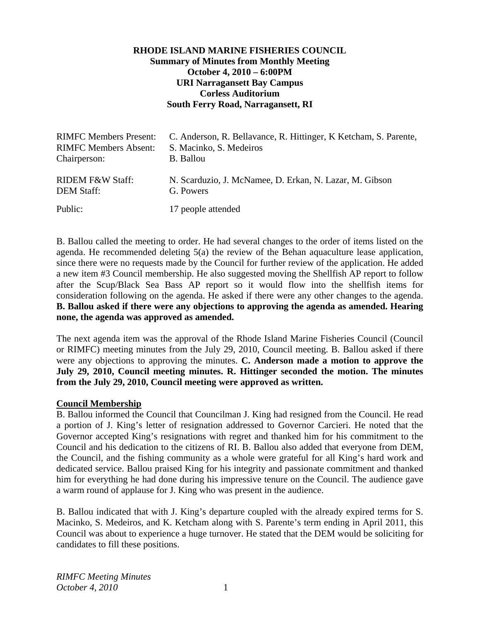# **RHODE ISLAND MARINE FISHERIES COUNCIL Summary of Minutes from Monthly Meeting October 4, 2010 – 6:00PM URI Narragansett Bay Campus Corless Auditorium South Ferry Road, Narragansett, RI**

| <b>RIMFC Members Present:</b> | C. Anderson, R. Bellavance, R. Hittinger, K. Ketcham, S. Parente, |
|-------------------------------|-------------------------------------------------------------------|
| <b>RIMFC Members Absent:</b>  | S. Macinko, S. Medeiros                                           |
| Chairperson:                  | <b>B.</b> Ballou                                                  |
| <b>RIDEM F&amp;W Staff:</b>   | N. Scarduzio, J. McNamee, D. Erkan, N. Lazar, M. Gibson           |
| <b>DEM Staff:</b>             | G. Powers                                                         |
| Public:                       | 17 people attended                                                |

B. Ballou called the meeting to order. He had several changes to the order of items listed on the agenda. He recommended deleting 5(a) the review of the Behan aquaculture lease application, since there were no requests made by the Council for further review of the application. He added a new item #3 Council membership. He also suggested moving the Shellfish AP report to follow after the Scup/Black Sea Bass AP report so it would flow into the shellfish items for consideration following on the agenda. He asked if there were any other changes to the agenda. **B. Ballou asked if there were any objections to approving the agenda as amended. Hearing none, the agenda was approved as amended.** 

The next agenda item was the approval of the Rhode Island Marine Fisheries Council (Council or RIMFC) meeting minutes from the July 29, 2010, Council meeting. B. Ballou asked if there were any objections to approving the minutes. **C. Anderson made a motion to approve the July 29, 2010, Council meeting minutes. R. Hittinger seconded the motion. The minutes from the July 29, 2010, Council meeting were approved as written.**

#### **Council Membership**

B. Ballou informed the Council that Councilman J. King had resigned from the Council. He read a portion of J. King's letter of resignation addressed to Governor Carcieri. He noted that the Governor accepted King's resignations with regret and thanked him for his commitment to the Council and his dedication to the citizens of RI. B. Ballou also added that everyone from DEM, the Council, and the fishing community as a whole were grateful for all King's hard work and dedicated service. Ballou praised King for his integrity and passionate commitment and thanked him for everything he had done during his impressive tenure on the Council. The audience gave a warm round of applause for J. King who was present in the audience.

B. Ballou indicated that with J. King's departure coupled with the already expired terms for S. Macinko, S. Medeiros, and K. Ketcham along with S. Parente's term ending in April 2011, this Council was about to experience a huge turnover. He stated that the DEM would be soliciting for candidates to fill these positions.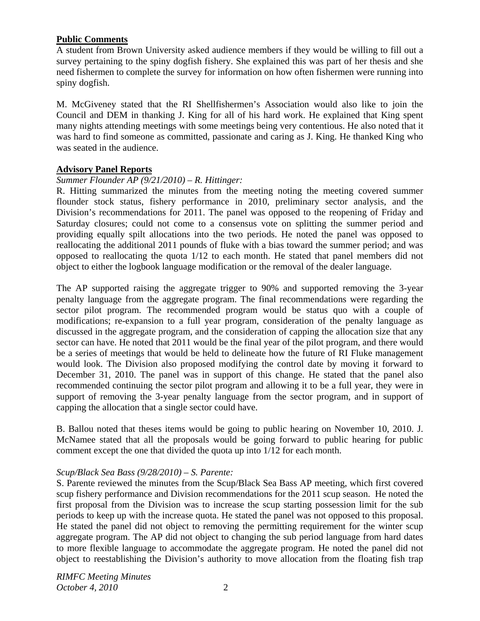## **Public Comments**

A student from Brown University asked audience members if they would be willing to fill out a survey pertaining to the spiny dogfish fishery. She explained this was part of her thesis and she need fishermen to complete the survey for information on how often fishermen were running into spiny dogfish.

M. McGiveney stated that the RI Shellfishermen's Association would also like to join the Council and DEM in thanking J. King for all of his hard work. He explained that King spent many nights attending meetings with some meetings being very contentious. He also noted that it was hard to find someone as committed, passionate and caring as J. King. He thanked King who was seated in the audience.

## **Advisory Panel Reports**

## *Summer Flounder AP (9/21/2010) – R. Hittinger:*

R. Hitting summarized the minutes from the meeting noting the meeting covered summer flounder stock status, fishery performance in 2010, preliminary sector analysis, and the Division's recommendations for 2011. The panel was opposed to the reopening of Friday and Saturday closures; could not come to a consensus vote on splitting the summer period and providing equally spilt allocations into the two periods. He noted the panel was opposed to reallocating the additional 2011 pounds of fluke with a bias toward the summer period; and was opposed to reallocating the quota 1/12 to each month. He stated that panel members did not object to either the logbook language modification or the removal of the dealer language.

The AP supported raising the aggregate trigger to 90% and supported removing the 3-year penalty language from the aggregate program. The final recommendations were regarding the sector pilot program. The recommended program would be status quo with a couple of modifications; re-expansion to a full year program, consideration of the penalty language as discussed in the aggregate program, and the consideration of capping the allocation size that any sector can have. He noted that 2011 would be the final year of the pilot program, and there would be a series of meetings that would be held to delineate how the future of RI Fluke management would look. The Division also proposed modifying the control date by moving it forward to December 31, 2010. The panel was in support of this change. He stated that the panel also recommended continuing the sector pilot program and allowing it to be a full year, they were in support of removing the 3-year penalty language from the sector program, and in support of capping the allocation that a single sector could have.

B. Ballou noted that theses items would be going to public hearing on November 10, 2010. J. McNamee stated that all the proposals would be going forward to public hearing for public comment except the one that divided the quota up into 1/12 for each month.

#### *Scup/Black Sea Bass (9/28/2010) – S. Parente:*

S. Parente reviewed the minutes from the Scup/Black Sea Bass AP meeting, which first covered scup fishery performance and Division recommendations for the 2011 scup season. He noted the first proposal from the Division was to increase the scup starting possession limit for the sub periods to keep up with the increase quota. He stated the panel was not opposed to this proposal. He stated the panel did not object to removing the permitting requirement for the winter scup aggregate program. The AP did not object to changing the sub period language from hard dates to more flexible language to accommodate the aggregate program. He noted the panel did not object to reestablishing the Division's authority to move allocation from the floating fish trap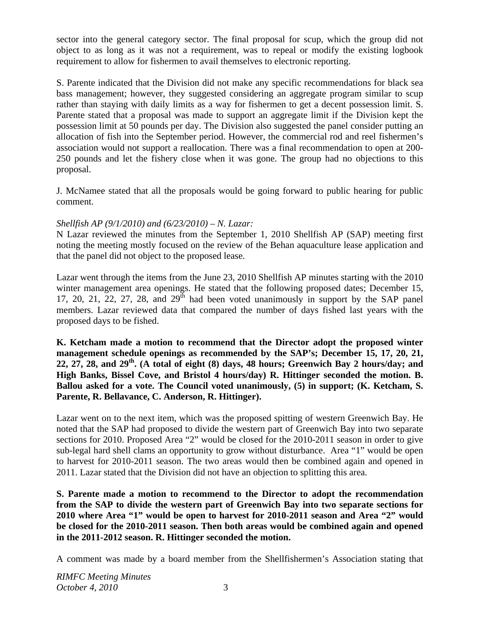sector into the general category sector. The final proposal for scup, which the group did not object to as long as it was not a requirement, was to repeal or modify the existing logbook requirement to allow for fishermen to avail themselves to electronic reporting.

S. Parente indicated that the Division did not make any specific recommendations for black sea bass management; however, they suggested considering an aggregate program similar to scup rather than staying with daily limits as a way for fishermen to get a decent possession limit. S. Parente stated that a proposal was made to support an aggregate limit if the Division kept the possession limit at 50 pounds per day. The Division also suggested the panel consider putting an allocation of fish into the September period. However, the commercial rod and reel fishermen's association would not support a reallocation. There was a final recommendation to open at 200- 250 pounds and let the fishery close when it was gone. The group had no objections to this proposal.

J. McNamee stated that all the proposals would be going forward to public hearing for public comment.

# *Shellfish AP (9/1/2010) and (6/23/2010) – N. Lazar:*

N Lazar reviewed the minutes from the September 1, 2010 Shellfish AP (SAP) meeting first noting the meeting mostly focused on the review of the Behan aquaculture lease application and that the panel did not object to the proposed lease.

Lazar went through the items from the June 23, 2010 Shellfish AP minutes starting with the 2010 winter management area openings. He stated that the following proposed dates; December 15, 17, 20, 21, 22, 27, 28, and  $29<sup>th</sup>$  had been voted unanimously in support by the SAP panel members. Lazar reviewed data that compared the number of days fished last years with the proposed days to be fished.

## **K. Ketcham made a motion to recommend that the Director adopt the proposed winter management schedule openings as recommended by the SAP's; December 15, 17, 20, 21, 22, 27, 28, and 29th. (A total of eight (8) days, 48 hours; Greenwich Bay 2 hours/day; and High Banks, Bissel Cove, and Bristol 4 hours/day) R. Hittinger seconded the motion. B. Ballou asked for a vote. The Council voted unanimously, (5) in support; (K. Ketcham, S. Parente, R. Bellavance, C. Anderson, R. Hittinger).**

Lazar went on to the next item, which was the proposed spitting of western Greenwich Bay. He noted that the SAP had proposed to divide the western part of Greenwich Bay into two separate sections for 2010. Proposed Area "2" would be closed for the 2010-2011 season in order to give sub-legal hard shell clams an opportunity to grow without disturbance. Area "1" would be open to harvest for 2010-2011 season. The two areas would then be combined again and opened in 2011. Lazar stated that the Division did not have an objection to splitting this area.

**S. Parente made a motion to recommend to the Director to adopt the recommendation from the SAP to divide the western part of Greenwich Bay into two separate sections for 2010 where Area "1" would be open to harvest for 2010-2011 season and Area "2" would be closed for the 2010-2011 season. Then both areas would be combined again and opened in the 2011-2012 season. R. Hittinger seconded the motion.** 

A comment was made by a board member from the Shellfishermen's Association stating that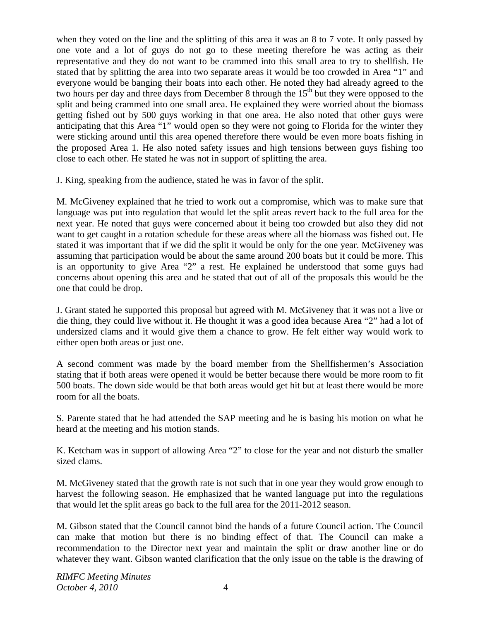when they voted on the line and the splitting of this area it was an 8 to 7 vote. It only passed by one vote and a lot of guys do not go to these meeting therefore he was acting as their representative and they do not want to be crammed into this small area to try to shellfish. He stated that by splitting the area into two separate areas it would be too crowded in Area "1" and everyone would be banging their boats into each other. He noted they had already agreed to the two hours per day and three days from December 8 through the  $15<sup>th</sup>$  but they were opposed to the split and being crammed into one small area. He explained they were worried about the biomass getting fished out by 500 guys working in that one area. He also noted that other guys were anticipating that this Area "1" would open so they were not going to Florida for the winter they were sticking around until this area opened therefore there would be even more boats fishing in the proposed Area 1. He also noted safety issues and high tensions between guys fishing too close to each other. He stated he was not in support of splitting the area.

J. King, speaking from the audience, stated he was in favor of the split.

M. McGiveney explained that he tried to work out a compromise, which was to make sure that language was put into regulation that would let the split areas revert back to the full area for the next year. He noted that guys were concerned about it being too crowded but also they did not want to get caught in a rotation schedule for these areas where all the biomass was fished out. He stated it was important that if we did the split it would be only for the one year. McGiveney was assuming that participation would be about the same around 200 boats but it could be more. This is an opportunity to give Area "2" a rest. He explained he understood that some guys had concerns about opening this area and he stated that out of all of the proposals this would be the one that could be drop.

J. Grant stated he supported this proposal but agreed with M. McGiveney that it was not a live or die thing, they could live without it. He thought it was a good idea because Area "2" had a lot of undersized clams and it would give them a chance to grow. He felt either way would work to either open both areas or just one.

A second comment was made by the board member from the Shellfishermen's Association stating that if both areas were opened it would be better because there would be more room to fit 500 boats. The down side would be that both areas would get hit but at least there would be more room for all the boats.

S. Parente stated that he had attended the SAP meeting and he is basing his motion on what he heard at the meeting and his motion stands.

K. Ketcham was in support of allowing Area "2" to close for the year and not disturb the smaller sized clams.

M. McGiveney stated that the growth rate is not such that in one year they would grow enough to harvest the following season. He emphasized that he wanted language put into the regulations that would let the split areas go back to the full area for the 2011-2012 season.

M. Gibson stated that the Council cannot bind the hands of a future Council action. The Council can make that motion but there is no binding effect of that. The Council can make a recommendation to the Director next year and maintain the split or draw another line or do whatever they want. Gibson wanted clarification that the only issue on the table is the drawing of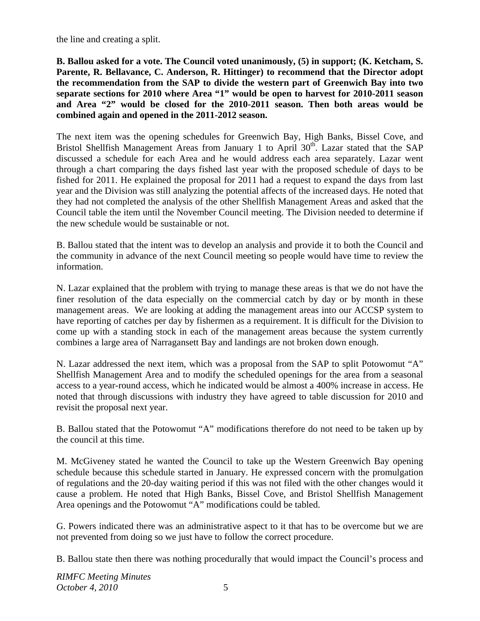the line and creating a split.

**B. Ballou asked for a vote. The Council voted unanimously, (5) in support; (K. Ketcham, S. Parente, R. Bellavance, C. Anderson, R. Hittinger) to recommend that the Director adopt the recommendation from the SAP to divide the western part of Greenwich Bay into two separate sections for 2010 where Area "1" would be open to harvest for 2010-2011 season and Area "2" would be closed for the 2010-2011 season. Then both areas would be combined again and opened in the 2011-2012 season.** 

The next item was the opening schedules for Greenwich Bay, High Banks, Bissel Cove, and Bristol Shellfish Management Areas from January 1 to April 30<sup>th</sup>. Lazar stated that the SAP discussed a schedule for each Area and he would address each area separately. Lazar went through a chart comparing the days fished last year with the proposed schedule of days to be fished for 2011. He explained the proposal for 2011 had a request to expand the days from last year and the Division was still analyzing the potential affects of the increased days. He noted that they had not completed the analysis of the other Shellfish Management Areas and asked that the Council table the item until the November Council meeting. The Division needed to determine if the new schedule would be sustainable or not.

B. Ballou stated that the intent was to develop an analysis and provide it to both the Council and the community in advance of the next Council meeting so people would have time to review the information.

N. Lazar explained that the problem with trying to manage these areas is that we do not have the finer resolution of the data especially on the commercial catch by day or by month in these management areas. We are looking at adding the management areas into our ACCSP system to have reporting of catches per day by fishermen as a requirement. It is difficult for the Division to come up with a standing stock in each of the management areas because the system currently combines a large area of Narragansett Bay and landings are not broken down enough.

N. Lazar addressed the next item, which was a proposal from the SAP to split Potowomut "A" Shellfish Management Area and to modify the scheduled openings for the area from a seasonal access to a year-round access, which he indicated would be almost a 400% increase in access. He noted that through discussions with industry they have agreed to table discussion for 2010 and revisit the proposal next year.

B. Ballou stated that the Potowomut "A" modifications therefore do not need to be taken up by the council at this time.

M. McGiveney stated he wanted the Council to take up the Western Greenwich Bay opening schedule because this schedule started in January. He expressed concern with the promulgation of regulations and the 20-day waiting period if this was not filed with the other changes would it cause a problem. He noted that High Banks, Bissel Cove, and Bristol Shellfish Management Area openings and the Potowomut "A" modifications could be tabled.

G. Powers indicated there was an administrative aspect to it that has to be overcome but we are not prevented from doing so we just have to follow the correct procedure.

B. Ballou state then there was nothing procedurally that would impact the Council's process and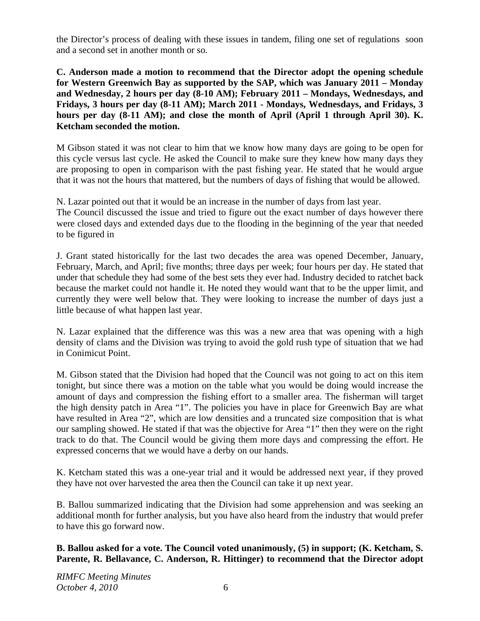the Director's process of dealing with these issues in tandem, filing one set of regulations soon and a second set in another month or so.

**C. Anderson made a motion to recommend that the Director adopt the opening schedule for Western Greenwich Bay as supported by the SAP, which was January 2011 – Monday and Wednesday, 2 hours per day (8-10 AM); February 2011 – Mondays, Wednesdays, and Fridays, 3 hours per day (8-11 AM); March 2011 - Mondays, Wednesdays, and Fridays, 3**  hours per day (8-11 AM); and close the month of April (April 1 through April 30). K. **Ketcham seconded the motion.**

M Gibson stated it was not clear to him that we know how many days are going to be open for this cycle versus last cycle. He asked the Council to make sure they knew how many days they are proposing to open in comparison with the past fishing year. He stated that he would argue that it was not the hours that mattered, but the numbers of days of fishing that would be allowed.

N. Lazar pointed out that it would be an increase in the number of days from last year.

The Council discussed the issue and tried to figure out the exact number of days however there were closed days and extended days due to the flooding in the beginning of the year that needed to be figured in

J. Grant stated historically for the last two decades the area was opened December, January, February, March, and April; five months; three days per week; four hours per day. He stated that under that schedule they had some of the best sets they ever had. Industry decided to ratchet back because the market could not handle it. He noted they would want that to be the upper limit, and currently they were well below that. They were looking to increase the number of days just a little because of what happen last year.

N. Lazar explained that the difference was this was a new area that was opening with a high density of clams and the Division was trying to avoid the gold rush type of situation that we had in Conimicut Point.

M. Gibson stated that the Division had hoped that the Council was not going to act on this item tonight, but since there was a motion on the table what you would be doing would increase the amount of days and compression the fishing effort to a smaller area. The fisherman will target the high density patch in Area "1". The policies you have in place for Greenwich Bay are what have resulted in Area "2", which are low densities and a truncated size composition that is what our sampling showed. He stated if that was the objective for Area "1" then they were on the right track to do that. The Council would be giving them more days and compressing the effort. He expressed concerns that we would have a derby on our hands.

K. Ketcham stated this was a one-year trial and it would be addressed next year, if they proved they have not over harvested the area then the Council can take it up next year.

B. Ballou summarized indicating that the Division had some apprehension and was seeking an additional month for further analysis, but you have also heard from the industry that would prefer to have this go forward now.

**B. Ballou asked for a vote. The Council voted unanimously, (5) in support; (K. Ketcham, S. Parente, R. Bellavance, C. Anderson, R. Hittinger) to recommend that the Director adopt**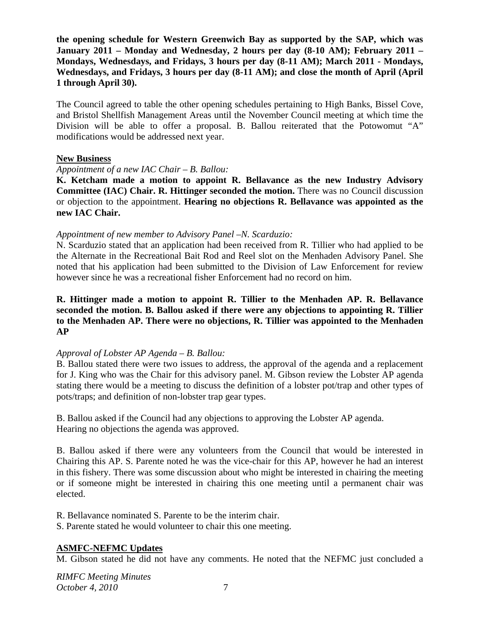**the opening schedule for Western Greenwich Bay as supported by the SAP, which was January 2011 – Monday and Wednesday, 2 hours per day (8-10 AM); February 2011 – Mondays, Wednesdays, and Fridays, 3 hours per day (8-11 AM); March 2011 - Mondays, Wednesdays, and Fridays, 3 hours per day (8-11 AM); and close the month of April (April 1 through April 30).**

The Council agreed to table the other opening schedules pertaining to High Banks, Bissel Cove, and Bristol Shellfish Management Areas until the November Council meeting at which time the Division will be able to offer a proposal. B. Ballou reiterated that the Potowomut "A" modifications would be addressed next year.

## **New Business**

## *Appointment of a new IAC Chair – B. Ballou:*

**K. Ketcham made a motion to appoint R. Bellavance as the new Industry Advisory Committee (IAC) Chair. R. Hittinger seconded the motion.** There was no Council discussion or objection to the appointment. **Hearing no objections R. Bellavance was appointed as the new IAC Chair.** 

## *Appointment of new member to Advisory Panel –N. Scarduzio:*

N. Scarduzio stated that an application had been received from R. Tillier who had applied to be the Alternate in the Recreational Bait Rod and Reel slot on the Menhaden Advisory Panel. She noted that his application had been submitted to the Division of Law Enforcement for review however since he was a recreational fisher Enforcement had no record on him.

## **R. Hittinger made a motion to appoint R. Tillier to the Menhaden AP. R. Bellavance seconded the motion. B. Ballou asked if there were any objections to appointing R. Tillier to the Menhaden AP. There were no objections, R. Tillier was appointed to the Menhaden AP**

# *Approval of Lobster AP Agenda – B. Ballou:*

B. Ballou stated there were two issues to address, the approval of the agenda and a replacement for J. King who was the Chair for this advisory panel. M. Gibson review the Lobster AP agenda stating there would be a meeting to discuss the definition of a lobster pot/trap and other types of pots/traps; and definition of non-lobster trap gear types.

B. Ballou asked if the Council had any objections to approving the Lobster AP agenda. Hearing no objections the agenda was approved.

B. Ballou asked if there were any volunteers from the Council that would be interested in Chairing this AP. S. Parente noted he was the vice-chair for this AP, however he had an interest in this fishery. There was some discussion about who might be interested in chairing the meeting or if someone might be interested in chairing this one meeting until a permanent chair was elected.

R. Bellavance nominated S. Parente to be the interim chair.

S. Parente stated he would volunteer to chair this one meeting.

# **ASMFC-NEFMC Updates**

M. Gibson stated he did not have any comments. He noted that the NEFMC just concluded a